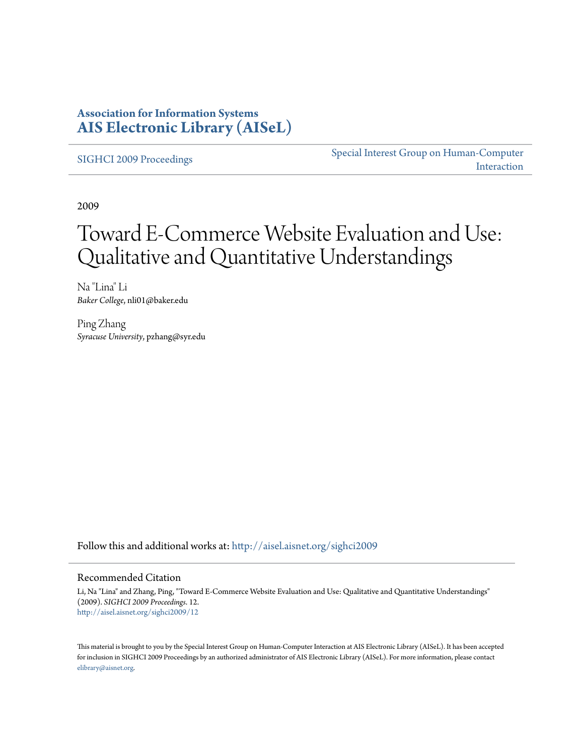### **Association for Information Systems [AIS Electronic Library \(AISeL\)](http://aisel.aisnet.org?utm_source=aisel.aisnet.org%2Fsighci2009%2F12&utm_medium=PDF&utm_campaign=PDFCoverPages)**

[SIGHCI 2009 Proceedings](http://aisel.aisnet.org/sighci2009?utm_source=aisel.aisnet.org%2Fsighci2009%2F12&utm_medium=PDF&utm_campaign=PDFCoverPages)

[Special Interest Group on Human-Computer](http://aisel.aisnet.org/sighci?utm_source=aisel.aisnet.org%2Fsighci2009%2F12&utm_medium=PDF&utm_campaign=PDFCoverPages) [Interaction](http://aisel.aisnet.org/sighci?utm_source=aisel.aisnet.org%2Fsighci2009%2F12&utm_medium=PDF&utm_campaign=PDFCoverPages)

2009

# Toward E-Commerce Website Evaluation and Use: Qualitative and Quantitative Understandings

Na "Lina" Li *Baker College*, nli01@baker.edu

Ping Zhang *Syracuse University*, pzhang@syr.edu

Follow this and additional works at: [http://aisel.aisnet.org/sighci2009](http://aisel.aisnet.org/sighci2009?utm_source=aisel.aisnet.org%2Fsighci2009%2F12&utm_medium=PDF&utm_campaign=PDFCoverPages)

#### Recommended Citation

Li, Na "Lina" and Zhang, Ping, "Toward E-Commerce Website Evaluation and Use: Qualitative and Quantitative Understandings" (2009). *SIGHCI 2009 Proceedings*. 12. [http://aisel.aisnet.org/sighci2009/12](http://aisel.aisnet.org/sighci2009/12?utm_source=aisel.aisnet.org%2Fsighci2009%2F12&utm_medium=PDF&utm_campaign=PDFCoverPages)

This material is brought to you by the Special Interest Group on Human-Computer Interaction at AIS Electronic Library (AISeL). It has been accepted for inclusion in SIGHCI 2009 Proceedings by an authorized administrator of AIS Electronic Library (AISeL). For more information, please contact [elibrary@aisnet.org.](mailto:elibrary@aisnet.org%3E)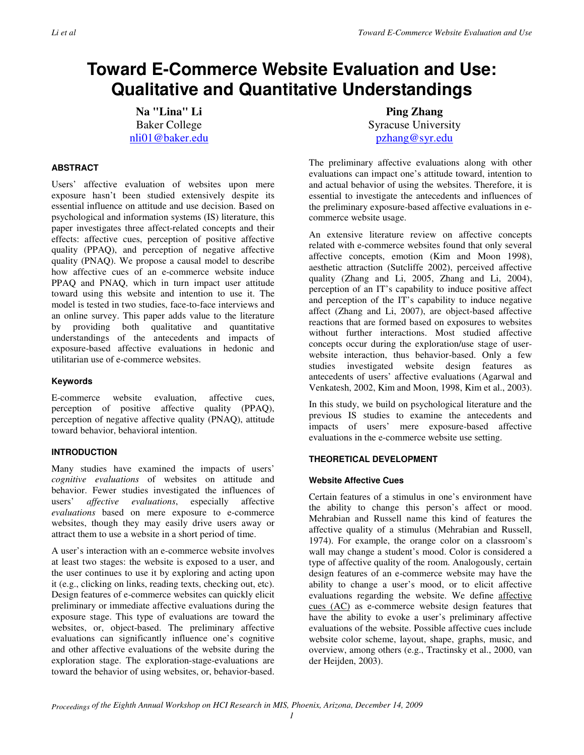## **Toward E-Commerce Website Evaluation and Use: Qualitative and Quantitative Understandings**

**Na "Lina" Li**  Baker College nli01@baker.edu

#### **ABSTRACT**

Users' affective evaluation of websites upon mere exposure hasn't been studied extensively despite its essential influence on attitude and use decision. Based on psychological and information systems (IS) literature, this paper investigates three affect-related concepts and their effects: affective cues, perception of positive affective quality (PPAQ), and perception of negative affective quality (PNAQ). We propose a causal model to describe how affective cues of an e-commerce website induce PPAQ and PNAQ, which in turn impact user attitude toward using this website and intention to use it. The model is tested in two studies, face-to-face interviews and an online survey. This paper adds value to the literature by providing both qualitative and quantitative understandings of the antecedents and impacts of exposure-based affective evaluations in hedonic and utilitarian use of e-commerce websites.

#### **Keywords**

E-commerce website evaluation, affective cues, perception of positive affective quality (PPAQ), perception of negative affective quality (PNAQ), attitude toward behavior, behavioral intention.

#### **INTRODUCTION**

Many studies have examined the impacts of users' *cognitive evaluations* of websites on attitude and behavior. Fewer studies investigated the influences of users' *affective evaluations*, especially affective *evaluations* based on mere exposure to e-commerce websites, though they may easily drive users away or attract them to use a website in a short period of time.

A user's interaction with an e-commerce website involves at least two stages: the website is exposed to a user, and the user continues to use it by exploring and acting upon it (e.g., clicking on links, reading texts, checking out, etc). Design features of e-commerce websites can quickly elicit preliminary or immediate affective evaluations during the exposure stage. This type of evaluations are toward the websites, or, object-based. The preliminary affective evaluations can significantly influence one's cognitive and other affective evaluations of the website during the exploration stage. The exploration-stage-evaluations are toward the behavior of using websites, or, behavior-based.

**Ping Zhang**  Syracuse University pzhang@syr.edu

The preliminary affective evaluations along with other evaluations can impact one's attitude toward, intention to and actual behavior of using the websites. Therefore, it is essential to investigate the antecedents and influences of the preliminary exposure-based affective evaluations in ecommerce website usage.

An extensive literature review on affective concepts related with e-commerce websites found that only several affective concepts, emotion (Kim and Moon 1998), aesthetic attraction (Sutcliffe 2002), perceived affective quality (Zhang and Li, 2005, Zhang and Li, 2004), perception of an IT's capability to induce positive affect and perception of the IT's capability to induce negative affect (Zhang and Li, 2007), are object-based affective reactions that are formed based on exposures to websites without further interactions. Most studied affective concepts occur during the exploration/use stage of userwebsite interaction, thus behavior-based. Only a few studies investigated website design features as antecedents of users' affective evaluations (Agarwal and Venkatesh, 2002, Kim and Moon, 1998, Kim et al., 2003).

In this study, we build on psychological literature and the previous IS studies to examine the antecedents and impacts of users' mere exposure-based affective evaluations in the e-commerce website use setting.

#### **THEORETICAL DEVELOPMENT**

#### **Website Affective Cues**

Certain features of a stimulus in one's environment have the ability to change this person's affect or mood. Mehrabian and Russell name this kind of features the affective quality of a stimulus (Mehrabian and Russell, 1974). For example, the orange color on a classroom's wall may change a student's mood. Color is considered a type of affective quality of the room. Analogously, certain design features of an e-commerce website may have the ability to change a user's mood, or to elicit affective evaluations regarding the website. We define affective cues (AC) as e-commerce website design features that have the ability to evoke a user's preliminary affective evaluations of the website. Possible affective cues include website color scheme, layout, shape, graphs, music, and overview, among others (e.g., Tractinsky et al., 2000, van der Heijden, 2003).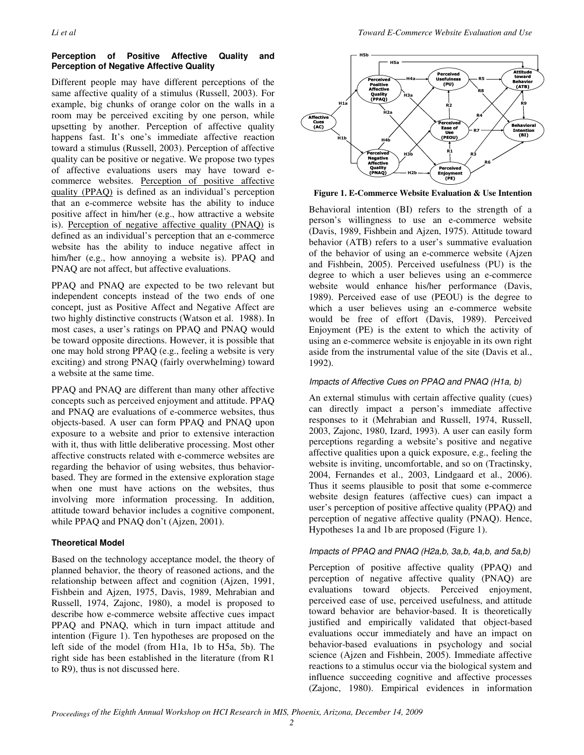#### **Perception of Positive Affective Quality and Perception of Negative Affective Quality**

Different people may have different perceptions of the same affective quality of a stimulus (Russell, 2003). For example, big chunks of orange color on the walls in a room may be perceived exciting by one person, while upsetting by another. Perception of affective quality happens fast. It's one's immediate affective reaction toward a stimulus (Russell, 2003). Perception of affective quality can be positive or negative. We propose two types of affective evaluations users may have toward ecommerce websites. Perception of positive affective quality (PPAQ) is defined as an individual's perception that an e-commerce website has the ability to induce positive affect in him/her (e.g., how attractive a website is). Perception of negative affective quality (PNAQ) is defined as an individual's perception that an e-commerce website has the ability to induce negative affect in him/her (e.g., how annoying a website is). PPAQ and PNAQ are not affect, but affective evaluations.

PPAQ and PNAQ are expected to be two relevant but independent concepts instead of the two ends of one concept, just as Positive Affect and Negative Affect are two highly distinctive constructs (Watson et al. 1988). In most cases, a user's ratings on PPAQ and PNAQ would be toward opposite directions. However, it is possible that one may hold strong PPAQ (e.g., feeling a website is very exciting) and strong PNAQ (fairly overwhelming) toward a website at the same time.

PPAQ and PNAQ are different than many other affective concepts such as perceived enjoyment and attitude. PPAQ and PNAQ are evaluations of e-commerce websites, thus objects-based. A user can form PPAQ and PNAQ upon exposure to a website and prior to extensive interaction with it, thus with little deliberative processing. Most other affective constructs related with e-commerce websites are regarding the behavior of using websites, thus behaviorbased. They are formed in the extensive exploration stage when one must have actions on the websites, thus involving more information processing. In addition, attitude toward behavior includes a cognitive component, while PPAQ and PNAQ don't (Ajzen, 2001).

#### **Theoretical Model**

Based on the technology acceptance model, the theory of planned behavior, the theory of reasoned actions, and the relationship between affect and cognition (Ajzen, 1991, Fishbein and Ajzen, 1975, Davis, 1989, Mehrabian and Russell, 1974, Zajonc, 1980), a model is proposed to describe how e-commerce website affective cues impact PPAQ and PNAQ, which in turn impact attitude and intention (Figure 1). Ten hypotheses are proposed on the left side of the model (from H1a, 1b to H5a, 5b). The right side has been established in the literature (from R1 to R9), thus is not discussed here.



**Figure 1. E-Commerce Website Evaluation & Use Intention**

Behavioral intention (BI) refers to the strength of a person's willingness to use an e-commerce website (Davis, 1989, Fishbein and Ajzen, 1975). Attitude toward behavior (ATB) refers to a user's summative evaluation of the behavior of using an e-commerce website (Ajzen and Fishbein, 2005). Perceived usefulness (PU) is the degree to which a user believes using an e-commerce website would enhance his/her performance (Davis, 1989). Perceived ease of use (PEOU) is the degree to which a user believes using an e-commerce website would be free of effort (Davis, 1989). Perceived Enjoyment (PE) is the extent to which the activity of using an e-commerce website is enjoyable in its own right aside from the instrumental value of the site (Davis et al., 1992).

#### Impacts of Affective Cues on PPAQ and PNAQ (H1a, b)

An external stimulus with certain affective quality (cues) can directly impact a person's immediate affective responses to it (Mehrabian and Russell, 1974, Russell, 2003, Zajonc, 1980, Izard, 1993). A user can easily form perceptions regarding a website's positive and negative affective qualities upon a quick exposure, e.g., feeling the website is inviting, uncomfortable, and so on (Tractinsky, 2004, Fernandes et al., 2003, Lindgaard et al., 2006). Thus it seems plausible to posit that some e-commerce website design features (affective cues) can impact a user's perception of positive affective quality (PPAQ) and perception of negative affective quality (PNAQ). Hence, Hypotheses 1a and 1b are proposed (Figure 1).

#### Impacts of PPAQ and PNAQ (H2a,b, 3a,b, 4a,b, and 5a,b)

Perception of positive affective quality (PPAQ) and perception of negative affective quality (PNAQ) are evaluations toward objects. Perceived enjoyment, perceived ease of use, perceived usefulness, and attitude toward behavior are behavior-based. It is theoretically justified and empirically validated that object-based evaluations occur immediately and have an impact on behavior-based evaluations in psychology and social science (Ajzen and Fishbein, 2005). Immediate affective reactions to a stimulus occur via the biological system and influence succeeding cognitive and affective processes (Zajonc, 1980). Empirical evidences in information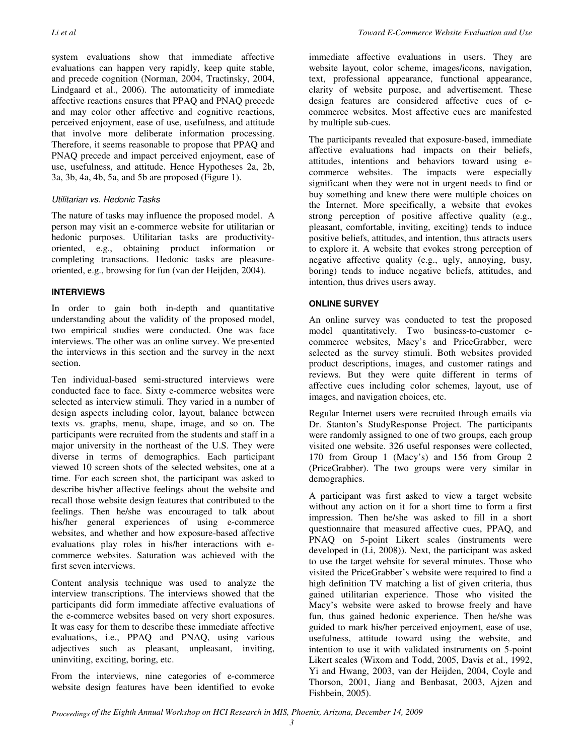system evaluations show that immediate affective evaluations can happen very rapidly, keep quite stable, and precede cognition (Norman, 2004, Tractinsky, 2004, Lindgaard et al., 2006). The automaticity of immediate affective reactions ensures that PPAQ and PNAQ precede and may color other affective and cognitive reactions, perceived enjoyment, ease of use, usefulness, and attitude that involve more deliberate information processing. Therefore, it seems reasonable to propose that PPAQ and PNAQ precede and impact perceived enjoyment, ease of use, usefulness, and attitude. Hence Hypotheses 2a, 2b, 3a, 3b, 4a, 4b, 5a, and 5b are proposed (Figure 1).

#### Utilitarian vs. Hedonic Tasks

The nature of tasks may influence the proposed model. A person may visit an e-commerce website for utilitarian or hedonic purposes. Utilitarian tasks are productivityoriented, e.g., obtaining product information or completing transactions. Hedonic tasks are pleasureoriented, e.g., browsing for fun (van der Heijden, 2004).

#### **INTERVIEWS**

In order to gain both in-depth and quantitative understanding about the validity of the proposed model, two empirical studies were conducted. One was face interviews. The other was an online survey. We presented the interviews in this section and the survey in the next section.

Ten individual-based semi-structured interviews were conducted face to face. Sixty e-commerce websites were selected as interview stimuli. They varied in a number of design aspects including color, layout, balance between texts vs. graphs, menu, shape, image, and so on. The participants were recruited from the students and staff in a major university in the northeast of the U.S. They were diverse in terms of demographics. Each participant viewed 10 screen shots of the selected websites, one at a time. For each screen shot, the participant was asked to describe his/her affective feelings about the website and recall those website design features that contributed to the feelings. Then he/she was encouraged to talk about his/her general experiences of using e-commerce websites, and whether and how exposure-based affective evaluations play roles in his/her interactions with ecommerce websites. Saturation was achieved with the first seven interviews.

Content analysis technique was used to analyze the interview transcriptions. The interviews showed that the participants did form immediate affective evaluations of the e-commerce websites based on very short exposures. It was easy for them to describe these immediate affective evaluations, i.e., PPAQ and PNAQ, using various adjectives such as pleasant, unpleasant, inviting, uninviting, exciting, boring, etc.

From the interviews, nine categories of e-commerce website design features have been identified to evoke immediate affective evaluations in users. They are website layout, color scheme, images/icons, navigation, text, professional appearance, functional appearance, clarity of website purpose, and advertisement. These design features are considered affective cues of ecommerce websites. Most affective cues are manifested by multiple sub-cues.

The participants revealed that exposure-based, immediate affective evaluations had impacts on their beliefs, attitudes, intentions and behaviors toward using ecommerce websites. The impacts were especially significant when they were not in urgent needs to find or buy something and knew there were multiple choices on the Internet. More specifically, a website that evokes strong perception of positive affective quality (e.g., pleasant, comfortable, inviting, exciting) tends to induce positive beliefs, attitudes, and intention, thus attracts users to explore it. A website that evokes strong perception of negative affective quality (e.g., ugly, annoying, busy, boring) tends to induce negative beliefs, attitudes, and intention, thus drives users away.

#### **ONLINE SURVEY**

An online survey was conducted to test the proposed model quantitatively. Two business-to-customer ecommerce websites, Macy's and PriceGrabber, were selected as the survey stimuli. Both websites provided product descriptions, images, and customer ratings and reviews. But they were quite different in terms of affective cues including color schemes, layout, use of images, and navigation choices, etc.

Regular Internet users were recruited through emails via Dr. Stanton's StudyResponse Project. The participants were randomly assigned to one of two groups, each group visited one website. 326 useful responses were collected, 170 from Group 1 (Macy's) and 156 from Group 2 (PriceGrabber). The two groups were very similar in demographics.

A participant was first asked to view a target website without any action on it for a short time to form a first impression. Then he/she was asked to fill in a short questionnaire that measured affective cues, PPAQ, and PNAQ on 5-point Likert scales (instruments were developed in (Li, 2008)). Next, the participant was asked to use the target website for several minutes. Those who visited the PriceGrabber's website were required to find a high definition TV matching a list of given criteria, thus gained utilitarian experience. Those who visited the Macy's website were asked to browse freely and have fun, thus gained hedonic experience. Then he/she was guided to mark his/her perceived enjoyment, ease of use, usefulness, attitude toward using the website, and intention to use it with validated instruments on 5-point Likert scales (Wixom and Todd, 2005, Davis et al., 1992, Yi and Hwang, 2003, van der Heijden, 2004, Coyle and Thorson, 2001, Jiang and Benbasat, 2003, Ajzen and Fishbein, 2005).

*Proceedings of the Eighth Annual Workshop on HCI Research in MIS, Phoenix, Arizona, December 14, 2009*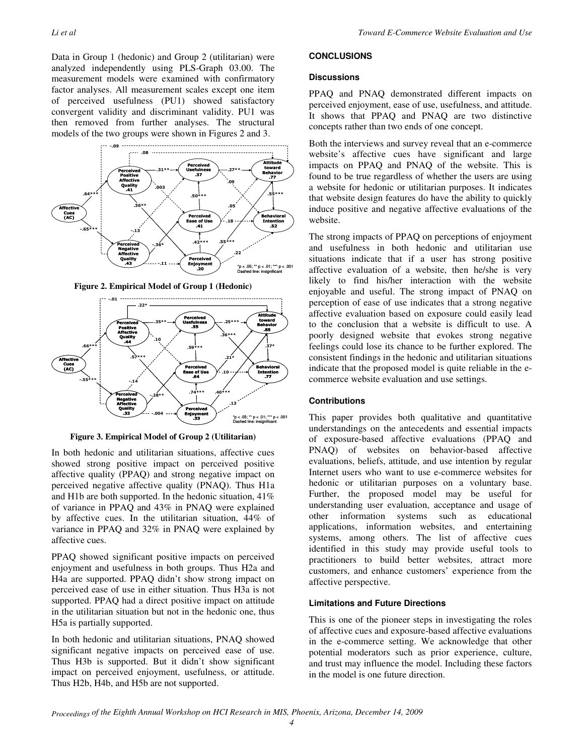Data in Group 1 (hedonic) and Group 2 (utilitarian) were analyzed independently using PLS-Graph 03.00. The measurement models were examined with confirmatory factor analyses. All measurement scales except one item of perceived usefulness (PU1) showed satisfactory convergent validity and discriminant validity. PU1 was then removed from further analyses. The structural models of the two groups were shown in Figures 2 and 3.



**Figure 2. Empirical Model of Group 1 (Hedonic)** 



**Figure 3. Empirical Model of Group 2 (Utilitarian)**

In both hedonic and utilitarian situations, affective cues showed strong positive impact on perceived positive affective quality (PPAQ) and strong negative impact on perceived negative affective quality (PNAQ). Thus H1a and H1b are both supported. In the hedonic situation, 41% of variance in PPAQ and 43% in PNAQ were explained by affective cues. In the utilitarian situation, 44% of variance in PPAQ and 32% in PNAQ were explained by affective cues.

PPAQ showed significant positive impacts on perceived enjoyment and usefulness in both groups. Thus H2a and H4a are supported. PPAQ didn't show strong impact on perceived ease of use in either situation. Thus H3a is not supported. PPAQ had a direct positive impact on attitude in the utilitarian situation but not in the hedonic one, thus H5a is partially supported.

In both hedonic and utilitarian situations, PNAQ showed significant negative impacts on perceived ease of use. Thus H3b is supported. But it didn't show significant impact on perceived enjoyment, usefulness, or attitude. Thus H2b, H4b, and H5b are not supported.

#### **CONCLUSIONS**

#### **Discussions**

PPAQ and PNAQ demonstrated different impacts on perceived enjoyment, ease of use, usefulness, and attitude. It shows that PPAQ and PNAQ are two distinctive concepts rather than two ends of one concept.

Both the interviews and survey reveal that an e-commerce website's affective cues have significant and large impacts on PPAQ and PNAQ of the website. This is found to be true regardless of whether the users are using a website for hedonic or utilitarian purposes. It indicates that website design features do have the ability to quickly induce positive and negative affective evaluations of the website.

The strong impacts of PPAQ on perceptions of enjoyment and usefulness in both hedonic and utilitarian use situations indicate that if a user has strong positive affective evaluation of a website, then he/she is very likely to find his/her interaction with the website enjoyable and useful. The strong impact of PNAQ on perception of ease of use indicates that a strong negative affective evaluation based on exposure could easily lead to the conclusion that a website is difficult to use. A poorly designed website that evokes strong negative feelings could lose its chance to be further explored. The consistent findings in the hedonic and utilitarian situations indicate that the proposed model is quite reliable in the ecommerce website evaluation and use settings.

#### **Contributions**

This paper provides both qualitative and quantitative understandings on the antecedents and essential impacts of exposure-based affective evaluations (PPAQ and PNAQ) of websites on behavior-based affective evaluations, beliefs, attitude, and use intention by regular Internet users who want to use e-commerce websites for hedonic or utilitarian purposes on a voluntary base. Further, the proposed model may be useful for understanding user evaluation, acceptance and usage of other information systems such as educational applications, information websites, and entertaining systems, among others. The list of affective cues identified in this study may provide useful tools to practitioners to build better websites, attract more customers, and enhance customers' experience from the affective perspective.

#### **Limitations and Future Directions**

This is one of the pioneer steps in investigating the roles of affective cues and exposure-based affective evaluations in the e-commerce setting. We acknowledge that other potential moderators such as prior experience, culture, and trust may influence the model. Including these factors in the model is one future direction.